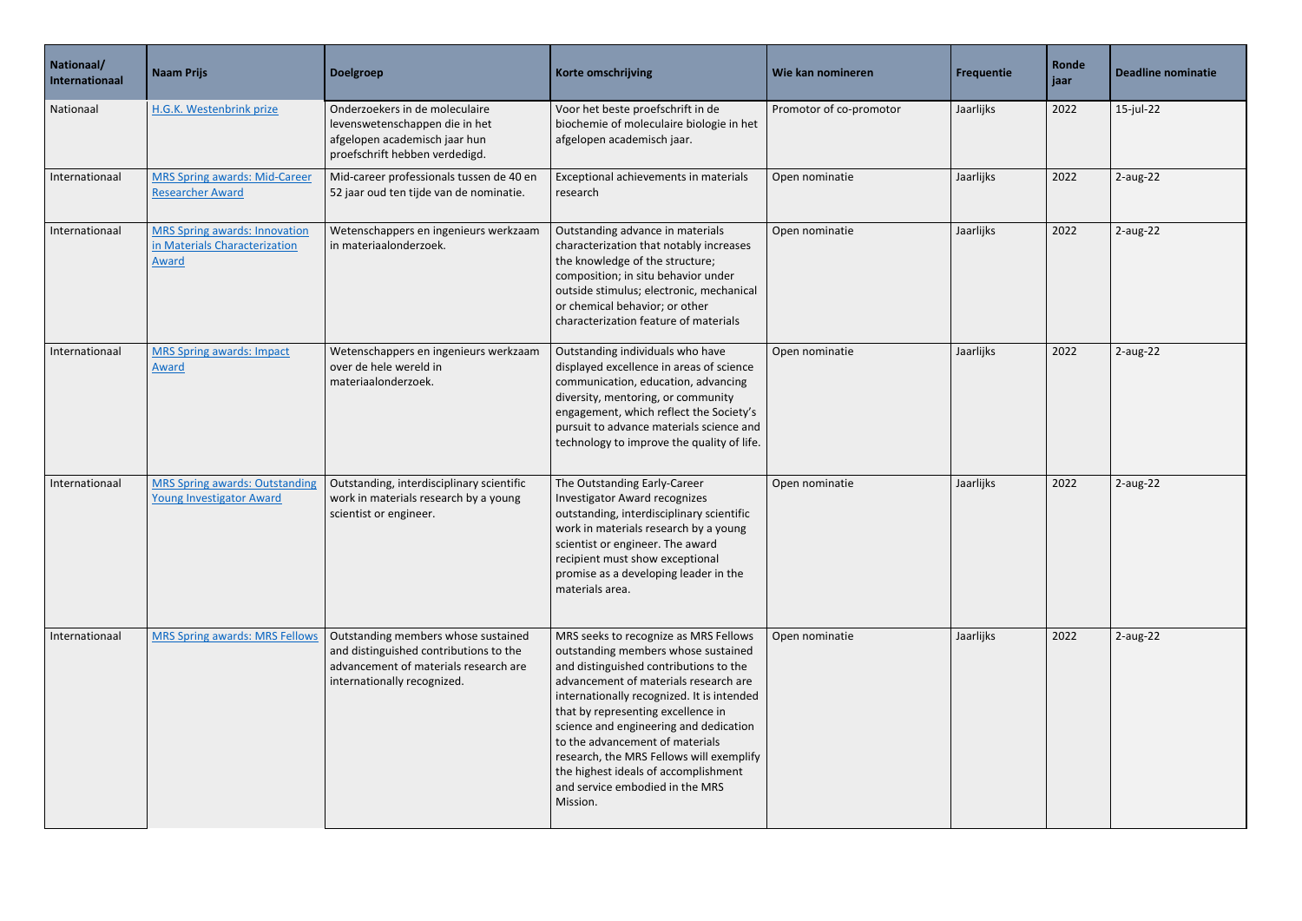| Nationaal/<br>Internationaal | <b>Naam Prijs</b>                                                                     | Doelgroep                                                                                                                                             | Korte omschrijving                                                                                                                                                                                                                                                                                                                                                                                                                                                  | Wie kan nomineren       | Frequentie | Ronde<br>jaar | <b>Deadline nominatie</b> |
|------------------------------|---------------------------------------------------------------------------------------|-------------------------------------------------------------------------------------------------------------------------------------------------------|---------------------------------------------------------------------------------------------------------------------------------------------------------------------------------------------------------------------------------------------------------------------------------------------------------------------------------------------------------------------------------------------------------------------------------------------------------------------|-------------------------|------------|---------------|---------------------------|
| Nationaal                    | H.G.K. Westenbrink prize                                                              | Onderzoekers in de moleculaire<br>levenswetenschappen die in het<br>afgelopen academisch jaar hun<br>proefschrift hebben verdedigd.                   | Voor het beste proefschrift in de<br>biochemie of moleculaire biologie in het<br>afgelopen academisch jaar.                                                                                                                                                                                                                                                                                                                                                         | Promotor of co-promotor | Jaarlijks  | 2022          | 15-jul-22                 |
| Internationaal               | <b>MRS Spring awards: Mid-Career</b><br><b>Researcher Award</b>                       | Mid-career professionals tussen de 40 en<br>52 jaar oud ten tijde van de nominatie.                                                                   | Exceptional achievements in materials<br>research                                                                                                                                                                                                                                                                                                                                                                                                                   | Open nominatie          | Jaarlijks  | 2022          | $2$ -aug-22               |
| Internationaal               | <b>MRS Spring awards: Innovation</b><br>in Materials Characterization<br><b>Award</b> | Wetenschappers en ingenieurs werkzaam<br>in materiaalonderzoek.                                                                                       | Outstanding advance in materials<br>characterization that notably increases<br>the knowledge of the structure;<br>composition; in situ behavior under<br>outside stimulus; electronic, mechanical<br>or chemical behavior; or other<br>characterization feature of materials                                                                                                                                                                                        | Open nominatie          | Jaarlijks  | 2022          | $2$ -aug-22               |
| Internationaal               | <b>MRS Spring awards: Impact</b><br>Award                                             | Wetenschappers en ingenieurs werkzaam<br>over de hele wereld in<br>materiaalonderzoek.                                                                | Outstanding individuals who have<br>displayed excellence in areas of science<br>communication, education, advancing<br>diversity, mentoring, or community<br>engagement, which reflect the Society's<br>pursuit to advance materials science and<br>technology to improve the quality of life.                                                                                                                                                                      | Open nominatie          | Jaarlijks  | 2022          | $2$ -aug-22               |
| Internationaal               | <b>MRS Spring awards: Outstanding</b><br><b>Young Investigator Award</b>              | Outstanding, interdisciplinary scientific<br>work in materials research by a young<br>scientist or engineer.                                          | The Outstanding Early-Career<br><b>Investigator Award recognizes</b><br>outstanding, interdisciplinary scientific<br>work in materials research by a young<br>scientist or engineer. The award<br>recipient must show exceptional<br>promise as a developing leader in the<br>materials area.                                                                                                                                                                       | Open nominatie          | Jaarlijks  | 2022          | $2$ -aug-22               |
| Internationaal               | <b>MRS Spring awards: MRS Fellows</b>                                                 | Outstanding members whose sustained<br>and distinguished contributions to the<br>advancement of materials research are<br>internationally recognized. | MRS seeks to recognize as MRS Fellows<br>outstanding members whose sustained<br>and distinguished contributions to the<br>advancement of materials research are<br>internationally recognized. It is intended<br>that by representing excellence in<br>science and engineering and dedication<br>to the advancement of materials<br>research, the MRS Fellows will exemplify<br>the highest ideals of accomplishment<br>and service embodied in the MRS<br>Mission. | Open nominatie          | Jaarlijks  | 2022          | $2$ -aug-22               |